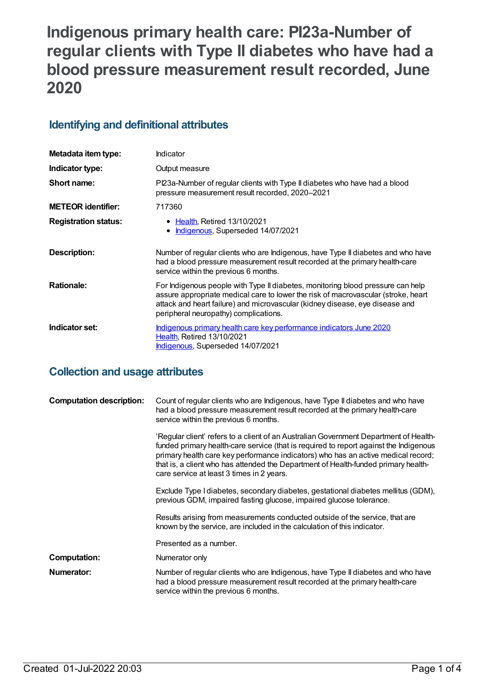# **Indigenous primary health care: PI23a-Number of regular clients with Type II diabetes who have had a blood pressure measurement result recorded, June 2020**

## **Identifying and definitional attributes**

| Metadata item type:         | Indicator                                                                                                                                                                                                                                                                                     |
|-----------------------------|-----------------------------------------------------------------------------------------------------------------------------------------------------------------------------------------------------------------------------------------------------------------------------------------------|
| Indicator type:             | Output measure                                                                                                                                                                                                                                                                                |
| Short name:                 | PI23a-Number of regular clients with Type II diabetes who have had a blood<br>pressure measurement result recorded, 2020-2021                                                                                                                                                                 |
| <b>METEOR identifier:</b>   | 717360                                                                                                                                                                                                                                                                                        |
| <b>Registration status:</b> | • Health, Retired 13/10/2021<br>Indigenous, Superseded 14/07/2021<br>$\bullet$                                                                                                                                                                                                                |
| Description:                | Number of regular clients who are Indigenous, have Type II diabetes and who have<br>had a blood pressure measurement result recorded at the primary health-care<br>service within the previous 6 months.                                                                                      |
| <b>Rationale:</b>           | For Indigenous people with Type II diabetes, monitoring blood pressure can help<br>assure appropriate medical care to lower the risk of macrovascular (stroke, heart<br>attack and heart failure) and microvascular (kidney disease, eye disease and<br>peripheral neuropathy) complications. |
| Indicator set:              | Indigenous primary health care key performance indicators June 2020<br><b>Health, Retired 13/10/2021</b><br><b>Indigenous, Superseded 14/07/2021</b>                                                                                                                                          |

# **Collection and usage attributes**

| <b>Computation description:</b> | Count of regular clients who are Indigenous, have Type II diabetes and who have<br>had a blood pressure measurement result recorded at the primary health-care<br>service within the previous 6 months.                                                                                                                                                                                                |
|---------------------------------|--------------------------------------------------------------------------------------------------------------------------------------------------------------------------------------------------------------------------------------------------------------------------------------------------------------------------------------------------------------------------------------------------------|
|                                 | 'Regular client' refers to a client of an Australian Government Department of Health-<br>funded primary health-care service (that is required to report against the Indigenous<br>primary health care key performance indicators) who has an active medical record;<br>that is, a client who has attended the Department of Health-funded primary health-<br>care service at least 3 times in 2 years. |
|                                 | Exclude Type I diabetes, secondary diabetes, gestational diabetes mellitus (GDM),<br>previous GDM, impaired fasting glucose, impaired glucose tolerance.                                                                                                                                                                                                                                               |
|                                 | Results arising from measurements conducted outside of the service, that are<br>known by the service, are included in the calculation of this indicator.                                                                                                                                                                                                                                               |
|                                 | Presented as a number.                                                                                                                                                                                                                                                                                                                                                                                 |
| Computation:                    | Numerator only                                                                                                                                                                                                                                                                                                                                                                                         |
| Numerator:                      | Number of regular clients who are Indigenous, have Type II diabetes and who have<br>had a blood pressure measurement result recorded at the primary health-care<br>service within the previous 6 months.                                                                                                                                                                                               |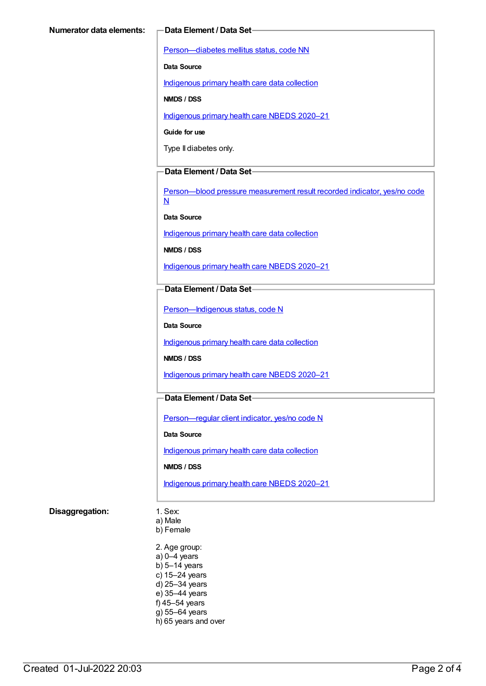[Person—diabetes](https://meteor.aihw.gov.au/content/270194) mellitus status, code NN

**Data Source**

[Indigenous](https://meteor.aihw.gov.au/content/430643) primary health care data collection

**NMDS / DSS**

[Indigenous](https://meteor.aihw.gov.au/content/715320) primary health care NBEDS 2020–21

**Guide for use**

Type II diabetes only.

### **Data Element / Data Set**

[Person—blood](https://meteor.aihw.gov.au/content/441407) pressure measurement result recorded indicator, yes/no code N

**Data Source**

[Indigenous](https://meteor.aihw.gov.au/content/430643) primary health care data collection

**NMDS / DSS**

[Indigenous](https://meteor.aihw.gov.au/content/715320) primary health care NBEDS 2020–21

**Data Element / Data Set**

[Person—Indigenous](https://meteor.aihw.gov.au/content/602543) status, code N

**Data Source**

[Indigenous](https://meteor.aihw.gov.au/content/430643) primary health care data collection

**NMDS / DSS**

[Indigenous](https://meteor.aihw.gov.au/content/715320) primary health care NBEDS 2020–21

### **Data Element / Data Set**

[Person—regular](https://meteor.aihw.gov.au/content/686291) client indicator, yes/no code N

**Data Source**

[Indigenous](https://meteor.aihw.gov.au/content/430643) primary health care data collection

#### **NMDS / DSS**

[Indigenous](https://meteor.aihw.gov.au/content/715320) primary health care NBEDS 2020–21

#### **Disaggregation:** 1. Sex:

a) Male b) Female

2. Age group: a) 0–4 years  $b)$  5–14 years c) 15–24 years d) 25–34 years e) 35–44 years f) 45–54 years g) 55–64 years h) 65 years and over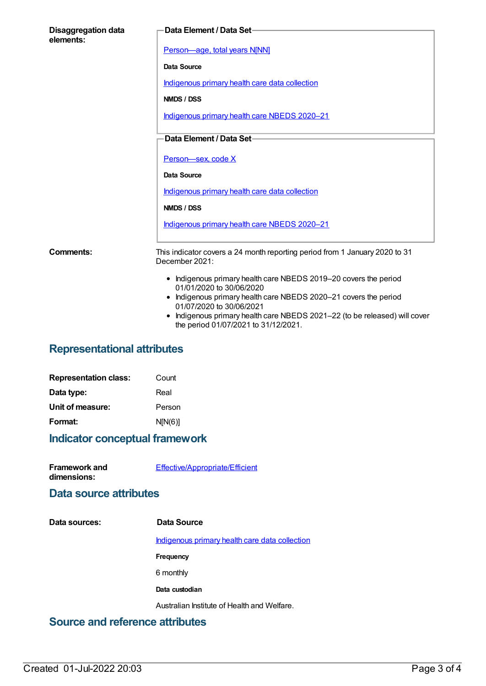| <b>Disaggregation data</b><br>elements: | Data Element / Data Set-                                                                                                                                                                                                                                                                                         |
|-----------------------------------------|------------------------------------------------------------------------------------------------------------------------------------------------------------------------------------------------------------------------------------------------------------------------------------------------------------------|
|                                         | Person-age, total years N[NN]                                                                                                                                                                                                                                                                                    |
|                                         | Data Source                                                                                                                                                                                                                                                                                                      |
|                                         | Indigenous primary health care data collection                                                                                                                                                                                                                                                                   |
|                                         | NMDS / DSS                                                                                                                                                                                                                                                                                                       |
|                                         | Indigenous primary health care NBEDS 2020-21                                                                                                                                                                                                                                                                     |
|                                         | Data Element / Data Set-                                                                                                                                                                                                                                                                                         |
|                                         |                                                                                                                                                                                                                                                                                                                  |
|                                         | Person-sex, code X                                                                                                                                                                                                                                                                                               |
|                                         | Data Source                                                                                                                                                                                                                                                                                                      |
|                                         | Indigenous primary health care data collection                                                                                                                                                                                                                                                                   |
|                                         | NMDS / DSS                                                                                                                                                                                                                                                                                                       |
|                                         | Indigenous primary health care NBEDS 2020-21                                                                                                                                                                                                                                                                     |
| Comments:                               | This indicator covers a 24 month reporting period from 1 January 2020 to 31<br>December 2021:                                                                                                                                                                                                                    |
|                                         | • Indigenous primary health care NBEDS 2019-20 covers the period<br>01/01/2020 to 30/06/2020<br>• Indigenous primary health care NBEDS 2020-21 covers the period<br>01/07/2020 to 30/06/2021<br>Indigenous primary health care NBEDS 2021-22 (to be released) will cover<br>the period 01/07/2021 to 31/12/2021. |

# **Representational attributes**

| <b>Representation class:</b> | Count   |
|------------------------------|---------|
| Data type:                   | Real    |
| Unit of measure:             | Person  |
| Format:                      | N[N(6)] |

# **Indicator conceptual framework**

| <b>Framework and</b> | Effective/Appropriate/Efficient |
|----------------------|---------------------------------|
| dimensions:          |                                 |

## **Data source attributes**

| Data sources: | Data Source                                           |
|---------------|-------------------------------------------------------|
|               | <u>Indigenous primary health care data collection</u> |
|               | Frequency                                             |
|               | 6 monthly                                             |
|               | Data custodian                                        |
|               | Australian Institute of Health and Welfare.           |
|               |                                                       |

## **Source and reference attributes**